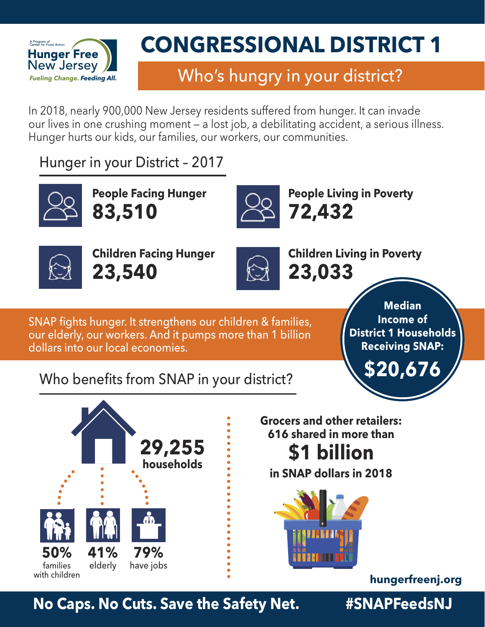

## Who's hungry in your district?

In 2018, nearly 900,000 New Jersey residents suffered from hunger. It can invade our lives in one crushing moment — a lost job, a debilitating accident, a serious illness. Hunger hurts our kids, our families, our workers, our communities.

Hunger in your District – 2017



**People Facing Hunger 83,510**



**People Living in Poverty 72,432**



**Children Facing Hunger 23,540**



**Children Living in Poverty 23,033**

SNAP fights hunger. It strengthens our children & families, our elderly, our workers. And it pumps more than 1 billion dollars into our local economies.

**Median Income of District 1 Households Receiving SNAP:**

**\$20,676**

### Who benefits from SNAP in your district?



**Grocers and other retailers: 616 shared in more than \$1 billion**

**in SNAP dollars in 2018**



**[hungerfreenj.org](https://hungerfreenj.org)**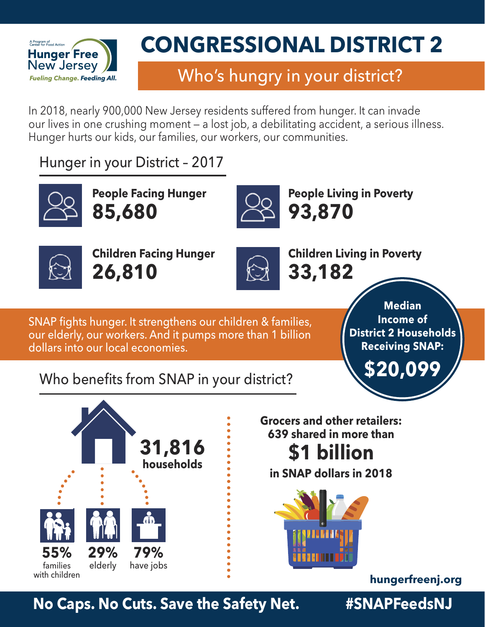

## Who's hungry in your district?

In 2018, nearly 900,000 New Jersey residents suffered from hunger. It can invade our lives in one crushing moment — a lost job, a debilitating accident, a serious illness. Hunger hurts our kids, our families, our workers, our communities.

Hunger in your District – 2017



**People Facing Hunger 85,680**



**People Living in Poverty 93,870**



**Children Facing Hunger 26,810**



**Children Living in Poverty 33,182**

SNAP fights hunger. It strengthens our children & families, our elderly, our workers. And it pumps more than 1 billion dollars into our local economies.

**Median Income of District 2 Households Receiving SNAP:**

**\$20,099**

### Who benefits from SNAP in your district?



**Grocers and other retailers: 639 shared in more than \$1 billion**

**in SNAP dollars in 2018**



**[hungerfreenj.org](https://hungerfreenj.org)**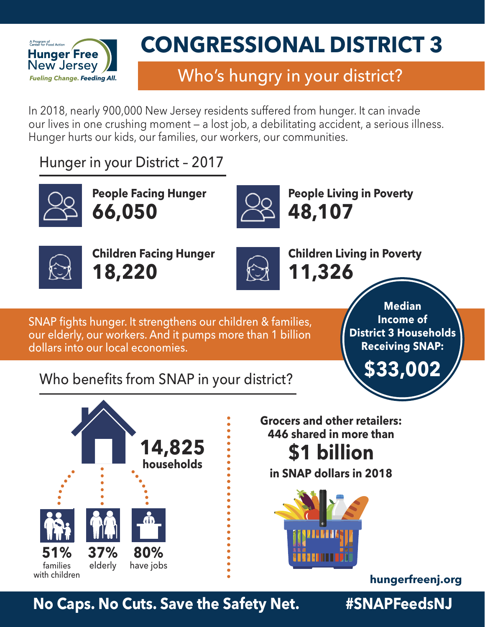

## Who's hungry in your district?

In 2018, nearly 900,000 New Jersey residents suffered from hunger. It can invade our lives in one crushing moment — a lost job, a debilitating accident, a serious illness. Hunger hurts our kids, our families, our workers, our communities.

Hunger in your District – 2017



**People Facing Hunger 66,050**



**People Living in Poverty 48,107**



**Children Facing Hunger 18,220**



**Children Living in Poverty 11,326**

SNAP fights hunger. It strengthens our children & families, our elderly, our workers. And it pumps more than 1 billion dollars into our local economies.

**Median Income of District 3 Households Receiving SNAP:**

**\$33,002**

### Who benefits from SNAP in your district?



**Grocers and other retailers: 446 shared in more than \$1 billion**

**in SNAP dollars in 2018**



**[hungerfreenj.org](https://hungerfreenj.org)**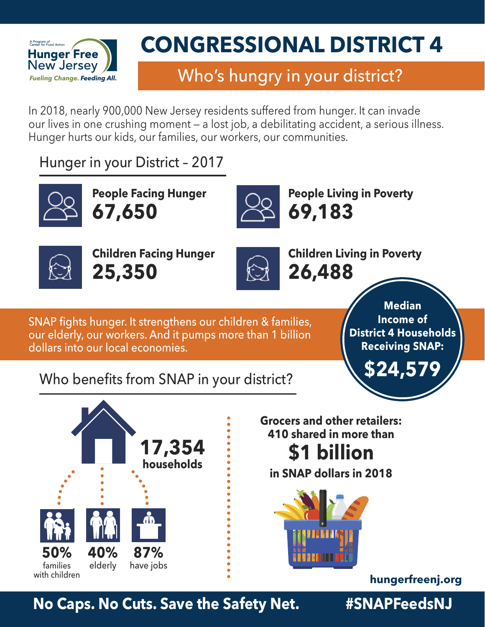

## Who's hungry in your district?

In 2018, nearly 900,000 New Jersey residents suffered from hunger. It can invade our lives in one crushing moment — a lost job, a debilitating accident, a serious illness. Hunger hurts our kids, our families, our workers, our communities.

Hunger in your District – 2017



**People Facing Hunger 67,650**



**People Living in Poverty 69,183**



**Children Facing Hunger 25,350**



**Children Living in Poverty 26,488**

SNAP fights hunger. It strengthens our children & families, our elderly, our workers. And it pumps more than 1 billion dollars into our local economies.

**Median Income of District 4 Households Receiving SNAP:**

**\$24,579**

### Who benefits from SNAP in your district?



**Grocers and other retailers: 410 shared in more than \$1 billion**

**in SNAP dollars in 2018**



**[hungerfreenj.org](https://hungerfreenj.org)**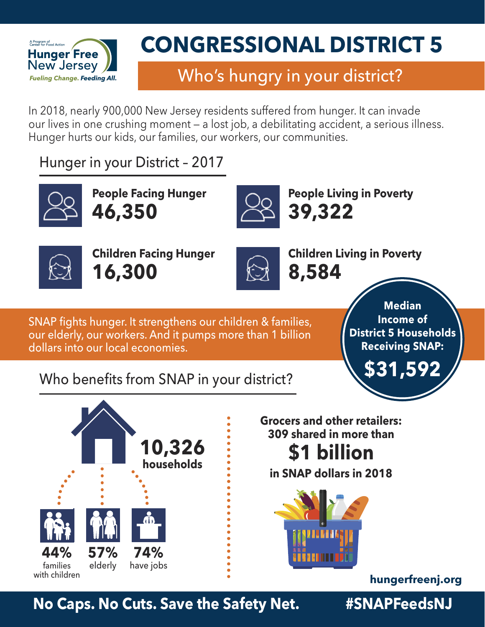

## Who's hungry in your district?

In 2018, nearly 900,000 New Jersey residents suffered from hunger. It can invade our lives in one crushing moment — a lost job, a debilitating accident, a serious illness. Hunger hurts our kids, our families, our workers, our communities.

Hunger in your District – 2017



**People Facing Hunger 46,350**



**People Living in Poverty 39,322**



**Children Facing Hunger 16,300**



**Children Living in Poverty 8,584**

SNAP fights hunger. It strengthens our children & families, our elderly, our workers. And it pumps more than 1 billion dollars into our local economies.

**Median Income of District 5 Households Receiving SNAP:**

**\$31,592**

### Who benefits from SNAP in your district?



**Grocers and other retailers: 309 shared in more than \$1 billion**

**in SNAP dollars in 2018**



**[hungerfreenj.org](https://hungerfreenj.org)**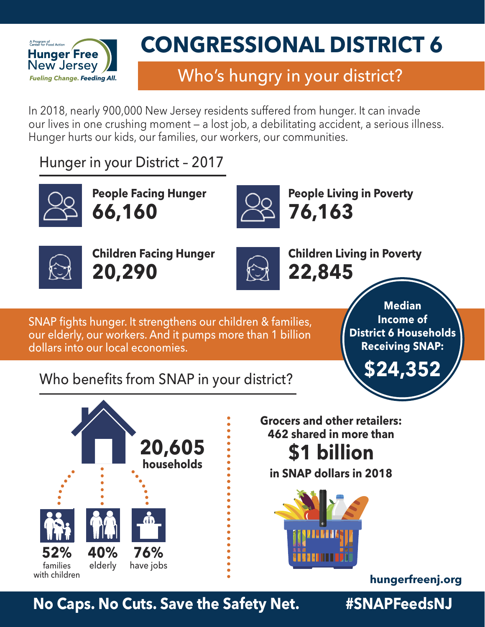

## Who's hungry in your district?

In 2018, nearly 900,000 New Jersey residents suffered from hunger. It can invade our lives in one crushing moment — a lost job, a debilitating accident, a serious illness. Hunger hurts our kids, our families, our workers, our communities.

Hunger in your District – 2017



**People Facing Hunger 66,160**



**People Living in Poverty 76,163**



**Children Facing Hunger 20,290**



**Children Living in Poverty 22,845**

SNAP fights hunger. It strengthens our children & families, our elderly, our workers. And it pumps more than 1 billion dollars into our local economies.

**Median Income of District 6 Households Receiving SNAP:**

**\$24,352**

### Who benefits from SNAP in your district?



**Grocers and other retailers: 462 shared in more than \$1 billion**

**in SNAP dollars in 2018**



**[hungerfreenj.org](https://hungerfreenj.org)**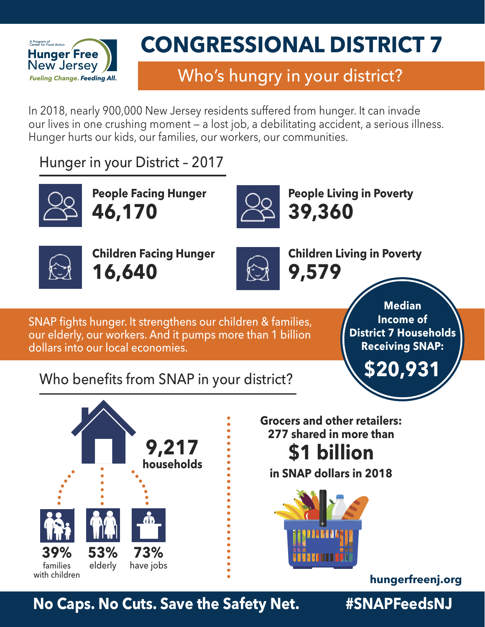

## Who's hungry in your district?

In 2018, nearly 900,000 New Jersey residents suffered from hunger. It can invade our lives in one crushing moment — a lost job, a debilitating accident, a serious illness. Hunger hurts our kids, our families, our workers, our communities.

Hunger in your District – 2017



**People Facing Hunger 46,170**



**People Living in Poverty 39,360**



**Children Facing Hunger 16,640**



**Children Living in Poverty 9,579**

SNAP fights hunger. It strengthens our children & families, our elderly, our workers. And it pumps more than 1 billion dollars into our local economies.

**Median Income of District 7 Households Receiving SNAP:**

**\$20,931**

### Who benefits from SNAP in your district?



**Grocers and other retailers: 277 shared in more than \$1 billion**

**in SNAP dollars in 2018**



**[hungerfreenj.org](https://hungerfreenj.org)**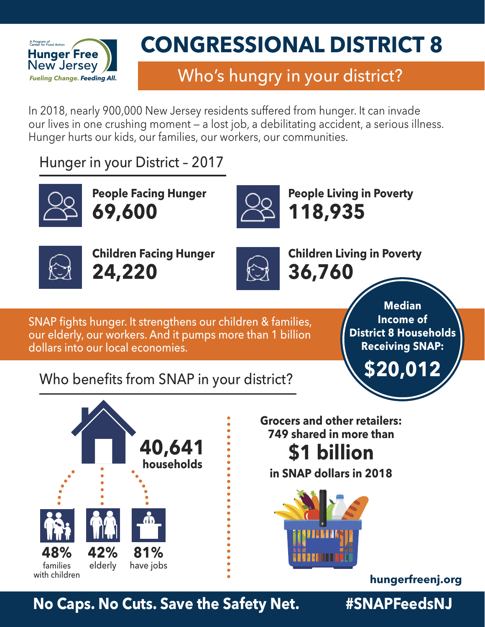

## Who's hungry in your district?

In 2018, nearly 900,000 New Jersey residents suffered from hunger. It can invade our lives in one crushing moment — a lost job, a debilitating accident, a serious illness. Hunger hurts our kids, our families, our workers, our communities.

Hunger in your District – 2017



**People Facing Hunger 69,600**



**People Living in Poverty 118,935**



**Children Facing Hunger 24,220**



**Children Living in Poverty 36,760**

SNAP fights hunger. It strengthens our children & families, our elderly, our workers. And it pumps more than 1 billion dollars into our local economies.

**Median Income of District 8 Households Receiving SNAP:**

**\$20,012**

### Who benefits from SNAP in your district?



**Grocers and other retailers: 749 shared in more than \$1 billion**

**in SNAP dollars in 2018**



**[hungerfreenj.org](https://hungerfreenj.org)**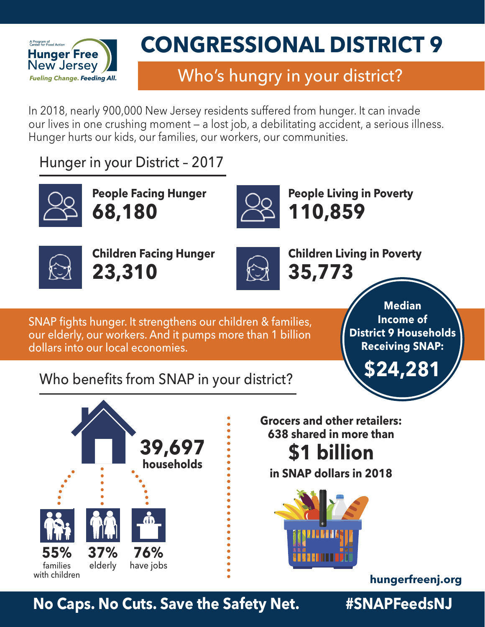

## Who's hungry in your district?

In 2018, nearly 900,000 New Jersey residents suffered from hunger. It can invade our lives in one crushing moment — a lost job, a debilitating accident, a serious illness. Hunger hurts our kids, our families, our workers, our communities.

Hunger in your District – 2017



**People Facing Hunger 68,180**



**People Living in Poverty 110,859**



**Children Facing Hunger 23,310**



**Children Living in Poverty 35,773**

SNAP fights hunger. It strengthens our children & families, our elderly, our workers. And it pumps more than 1 billion dollars into our local economies.

**Median Income of District 9 Households Receiving SNAP:**

**\$24,281**

### Who benefits from SNAP in your district?



**Grocers and other retailers: 638 shared in more than \$1 billion**

**in SNAP dollars in 2018**



**[hungerfreenj.org](https://hungerfreenj.org)**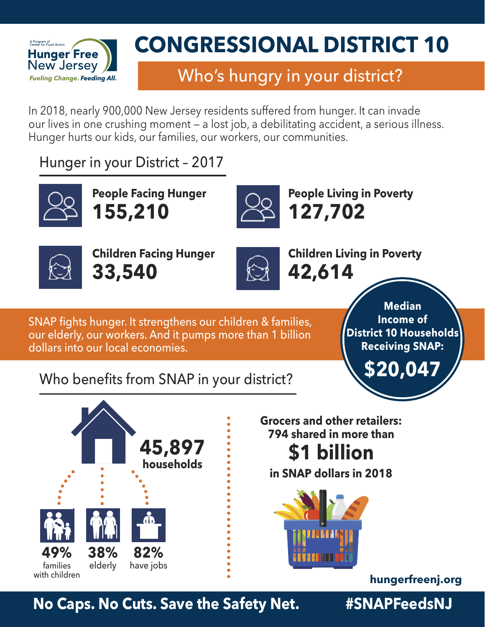

## Who's hungry in your district?

In 2018, nearly 900,000 New Jersey residents suffered from hunger. It can invade our lives in one crushing moment — a lost job, a debilitating accident, a serious illness. Hunger hurts our kids, our families, our workers, our communities.

Hunger in your District – 2017



**People Facing Hunger 155,210**



**People Living in Poverty 127,702**



**Children Facing Hunger 33,540**



**Children Living in Poverty 42,614**

SNAP fights hunger. It strengthens our children & families, our elderly, our workers. And it pumps more than 1 billion dollars into our local economies.

**Median Income of District 10 Households Receiving SNAP:**

**\$20,047**

### Who benefits from SNAP in your district?



**Grocers and other retailers: 794 shared in more than \$1 billion**

**in SNAP dollars in 2018**



**[hungerfreenj.org](https://hungerfreenj.org)**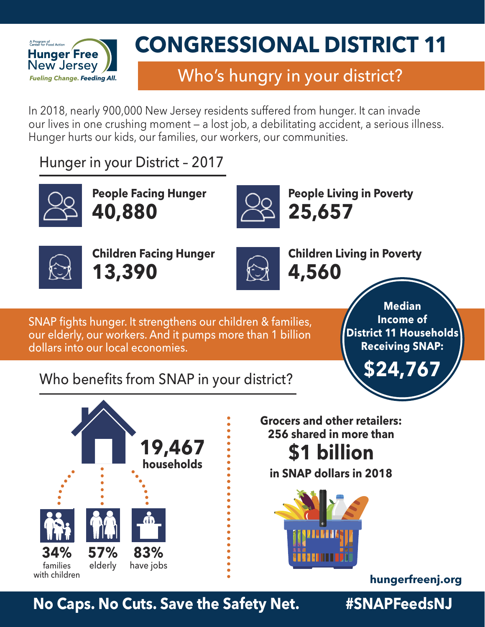

### Who's hungry in your district?

In 2018, nearly 900,000 New Jersey residents suffered from hunger. It can invade our lives in one crushing moment — a lost job, a debilitating accident, a serious illness. Hunger hurts our kids, our families, our workers, our communities.

Hunger in your District – 2017



**People Facing Hunger 40,880**



**People Living in Poverty 25,657**



**Children Facing Hunger 13,390**



**Children Living in Poverty 4,560**

SNAP fights hunger. It strengthens our children & families, our elderly, our workers. And it pumps more than 1 billion dollars into our local economies.

**Median Income of District 11 Households Receiving SNAP:**

**\$24,767**

### Who benefits from SNAP in your district?



**Grocers and other retailers: 256 shared in more than \$1 billion**

**in SNAP dollars in 2018**



**[hungerfreenj.org](https://hungerfreenj.org)**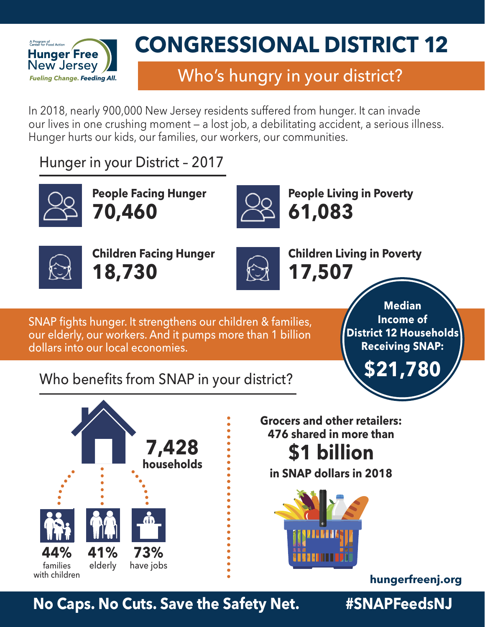

## Who's hungry in your district?

In 2018, nearly 900,000 New Jersey residents suffered from hunger. It can invade our lives in one crushing moment — a lost job, a debilitating accident, a serious illness. Hunger hurts our kids, our families, our workers, our communities.

Hunger in your District – 2017



**People Facing Hunger 70,460**



**People Living in Poverty 61,083**



**Children Facing Hunger 18,730**



**Children Living in Poverty 17,507**

SNAP fights hunger. It strengthens our children & families, our elderly, our workers. And it pumps more than 1 billion dollars into our local economies.

**Median Income of District 12 Households Receiving SNAP:**

**\$21,780**

### Who benefits from SNAP in your district?



**Grocers and other retailers: 476 shared in more than \$1 billion**

**in SNAP dollars in 2018**



**[hungerfreenj.org](https://hungerfreenj.org)**